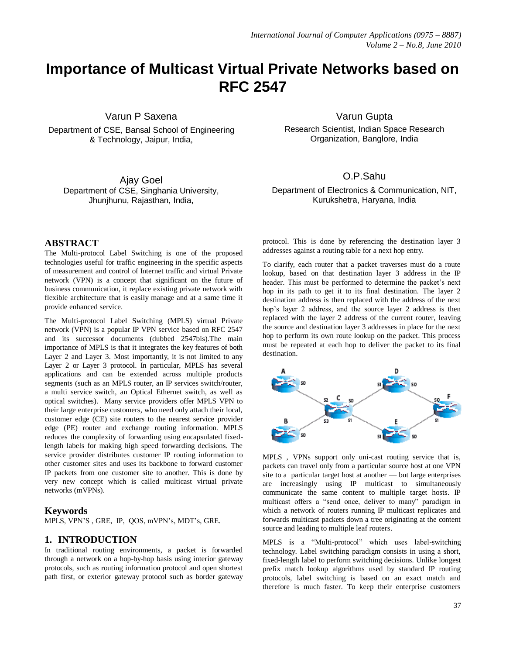# **Importance of Multicast Virtual Private Networks based on RFC 2547**

Varun P Saxena

Department of CSE, Bansal School of Engineering & Technology, Jaipur, India,

Ajay Goel Department of CSE, Singhania University, Jhunjhunu, Rajasthan, India,

Varun Gupta

Research Scientist, Indian Space Research Organization, Banglore, India

O.P.Sahu

Department of Electronics & Communication, NIT, Kurukshetra, Haryana, India

## **ABSTRACT**

The Multi-protocol Label Switching is one of the proposed technologies useful for traffic engineering in the specific aspects of measurement and control of Internet traffic and virtual Private network (VPN) is a concept that significant on the future of business communication, it replace existing private network with flexible architecture that is easily manage and at a same time it provide enhanced service.

The Multi-protocol Label Switching (MPLS) virtual Private network (VPN) is a popular IP VPN service based on RFC 2547 and its successor documents (dubbed 2547bis).The main importance of MPLS is that it integrates the key features of both Layer 2 and Layer 3. Most importantly, it is not limited to any Layer 2 or Layer 3 protocol. In particular, MPLS has several applications and can be extended across multiple products segments (such as an MPLS router, an IP services switch/router, a multi service switch, an Optical Ethernet switch, as well as optical switches). Many service providers offer MPLS VPN to their large enterprise customers, who need only attach their local, customer edge (CE) site routers to the nearest service provider edge (PE) router and exchange routing information. MPLS reduces the complexity of forwarding using encapsulated fixedlength labels for making high speed forwarding decisions. The service provider distributes customer IP routing information to other customer sites and uses its backbone to forward customer IP packets from one customer site to another. This is done by very new concept which is called multicast virtual private networks (mVPNs).

#### **Keywords**

MPLS, VPN'S , GRE, IP, QOS, mVPN's, MDT's, GRE.

#### **1. INTRODUCTION**

In traditional routing environments, a packet is forwarded through a network on a hop-by-hop basis using interior gateway protocols, such as routing information protocol and open shortest path first, or exterior gateway protocol such as border gateway protocol. This is done by referencing the destination layer 3 addresses against a routing table for a next hop entry.

To clarify, each router that a packet traverses must do a route lookup, based on that destination layer 3 address in the IP header. This must be performed to determine the packet's next hop in its path to get it to its final destination. The layer 2 destination address is then replaced with the address of the next hop's layer 2 address, and the source layer 2 address is then replaced with the layer 2 address of the current router, leaving the source and destination layer 3 addresses in place for the next hop to perform its own route lookup on the packet. This process must be repeated at each hop to deliver the packet to its final destination.



MPLS , VPNs support only uni-cast routing service that is, packets can travel only from a particular source host at one VPN site to a particular target host at another — but large enterprises are increasingly using IP multicast to simultaneously communicate the same content to multiple target hosts. IP multicast offers a "send once, deliver to many" paradigm in which a network of routers running IP multicast replicates and forwards multicast packets down a tree originating at the content source and leading to multiple leaf routers.

MPLS is a "Multi-protocol" which uses label-switching technology. Label switching paradigm consists in using a short, fixed-length label to perform switching decisions. Unlike longest prefix match lookup algorithms used by standard IP routing protocols, label switching is based on an exact match and therefore is much faster. To keep their enterprise customers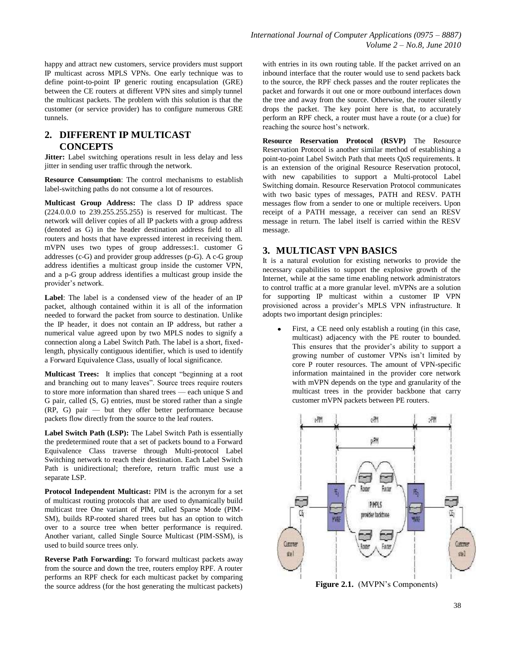# **2. DIFFERENT IP MULTICAST CONCEPTS**

**Jitter:** Label switching operations result in less delay and less jitter in sending user traffic through the network.

**Resource Consumption**: The control mechanisms to establish label-switching paths do not consume a lot of resources.

**Multicast Group Address:** The class D IP address space (224.0.0.0 to 239.255.255.255) is reserved for multicast. The network will deliver copies of all IP packets with a group address (denoted as G) in the header destination address field to all routers and hosts that have expressed interest in receiving them. mVPN uses two types of group addresses:1. customer G addresses (c-G) and provider group addresses (p-G). A c-G group address identifies a multicast group inside the customer VPN, and a p-G group address identifies a multicast group inside the provider's network.

**Label**: The label is a condensed view of the header of an IP packet, although contained within it is all of the information needed to forward the packet from source to destination. Unlike the IP header, it does not contain an IP address, but rather a numerical value agreed upon by two MPLS nodes to signify a connection along a Label Switch Path. The label is a short, fixedlength, physically contiguous identifier, which is used to identify a Forward Equivalence Class, usually of local significance.

**Multicast Trees:** It implies that concept "beginning at a root" and branching out to many leaves". Source trees require routers to store more information than shared trees — each unique S and G pair, called (S, G) entries, must be stored rather than a single (RP, G) pair — but they offer better performance because packets flow directly from the source to the leaf routers.

**Label Switch Path (LSP):** The Label Switch Path is essentially the predetermined route that a set of packets bound to a Forward Equivalence Class traverse through Multi-protocol Label Switching network to reach their destination. Each Label Switch Path is unidirectional; therefore, return traffic must use a separate LSP.

**Protocol Independent Multicast:** PIM is the acronym for a set of multicast routing protocols that are used to dynamically build multicast tree One variant of PIM, called Sparse Mode (PIM-SM), builds RP-rooted shared trees but has an option to witch over to a source tree when better performance is required. Another variant, called Single Source Multicast (PIM-SSM), is used to build source trees only.

**Reverse Path Forwarding:** To forward multicast packets away from the source and down the tree, routers employ RPF. A router performs an RPF check for each multicast packet by comparing the source address (for the host generating the multicast packets)

with entries in its own routing table. If the packet arrived on an inbound interface that the router would use to send packets back to the source, the RPF check passes and the router replicates the packet and forwards it out one or more outbound interfaces down the tree and away from the source. Otherwise, the router silently drops the packet. The key point here is that, to accurately perform an RPF check, a router must have a route (or a clue) for reaching the source host's network.

**Resource Reservation Protocol (RSVP)** The Resource Reservation Protocol is another similar method of establishing a point-to-point Label Switch Path that meets QoS requirements. It is an extension of the original Resource Reservation protocol, with new capabilities to support a Multi-protocol Label Switching domain. Resource Reservation Protocol communicates with two basic types of messages, PATH and RESV. PATH messages flow from a sender to one or multiple receivers. Upon receipt of a PATH message, a receiver can send an RESV message in return. The label itself is carried within the RESV message.

## **3. MULTICAST VPN BASICS**

It is a natural evolution for existing networks to provide the necessary capabilities to support the explosive growth of the Internet, while at the same time enabling network administrators to control traffic at a more granular level. mVPNs are a solution for supporting IP multicast within a customer IP VPN provisioned across a provider's MPLS VPN infrastructure. It adopts two important design principles:

First, a CE need only establish a routing (in this case, multicast) adjacency with the PE router to bounded. This ensures that the provider's ability to support a growing number of customer VPNs isn't limited by core P router resources. The amount of VPN-specific information maintained in the provider core network with mVPN depends on the type and granularity of the multicast trees in the provider backbone that carry customer mVPN packets between PE routers.

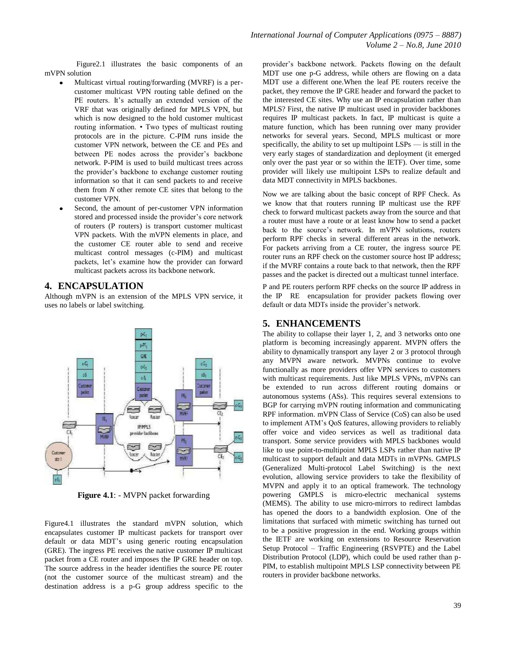Figure2.1 illustrates the basic components of an mVPN solution

- Multicast virtual routing/forwarding (MVRF) is a percustomer multicast VPN routing table defined on the PE routers. It's actually an extended version of the VRF that was originally defined for MPLS VPN, but which is now designed to the hold customer multicast routing information. • Two types of multicast routing protocols are in the picture. C-PIM runs inside the customer VPN network, between the CE and PEs and between PE nodes across the provider's backbone network. P-PIM is used to build multicast trees across the provider's backbone to exchange customer routing information so that it can send packets to and receive them from *N* other remote CE sites that belong to the customer VPN.
- Second, the amount of per-customer VPN information stored and processed inside the provider's core network of routers (P routers) is transport customer multicast VPN packets. With the mVPN elements in place, and the customer CE router able to send and receive multicast control messages (c-PIM) and multicast packets, let's examine how the provider can forward multicast packets across its backbone network.

## **4. ENCAPSULATION**

Although mVPN is an extension of the MPLS VPN service, it uses no labels or label switching.



**Figure 4.1**: - MVPN packet forwarding

Figure4.1 illustrates the standard mVPN solution, which encapsulates customer IP multicast packets for transport over default or data MDT's using generic routing encapsulation (GRE). The ingress PE receives the native customer IP multicast packet from a CE router and imposes the IP GRE header on top. The source address in the header identifies the source PE router (not the customer source of the multicast stream) and the destination address is a p-G group address specific to the provider's backbone network. Packets flowing on the default MDT use one p-G address, while others are flowing on a data MDT use a different one.When the leaf PE routers receive the packet, they remove the IP GRE header and forward the packet to the interested CE sites. Why use an IP encapsulation rather than MPLS? First, the native IP multicast used in provider backbones requires IP multicast packets. In fact, IP multicast is quite a mature function, which has been running over many provider networks for several years. Second, MPLS multicast or more specifically, the ability to set up multipoint  $LSPs$  — is still in the very early stages of standardization and deployment (it emerged only over the past year or so within the IETF). Over time, some provider will likely use multipoint LSPs to realize default and data MDT connectivity in MPLS backbones.

Now we are talking about the basic concept of RPF Check. As we know that that routers running IP multicast use the RPF check to forward multicast packets away from the source and that a router must have a route or at least know how to send a packet back to the source's network. In mVPN solutions, routers perform RPF checks in several different areas in the network. For packets arriving from a CE router, the ingress source PE router runs an RPF check on the customer source host IP address; if the MVRF contains a route back to that network, then the RPF passes and the packet is directed out a multicast tunnel interface.

P and PE routers perform RPF checks on the source IP address in the IP RE encapsulation for provider packets flowing over default or data MDTs inside the provider's network.

## **5. ENHANCEMENTS**

The ability to collapse their layer 1, 2, and 3 networks onto one platform is becoming increasingly apparent. MVPN offers the ability to dynamically transport any layer 2 or 3 protocol through any MVPN aware network. MVPNs continue to evolve functionally as more providers offer VPN services to customers with multicast requirements. Just like MPLS VPNs, mVPNs can be extended to run across different routing domains or autonomous systems (ASs). This requires several extensions to BGP for carrying mVPN routing information and communicating RPF information. mVPN Class of Service (CoS) can also be used to implement ATM's QoS features, allowing providers to reliably offer voice and video services as well as traditional data transport. Some service providers with MPLS backbones would like to use point-to-multipoint MPLS LSPs rather than native IP multicast to support default and data MDTs in mVPNs. GMPLS (Generalized Multi-protocol Label Switching) is the next evolution, allowing service providers to take the flexibility of MVPN and apply it to an optical framework. The technology powering GMPLS is micro-electric mechanical systems (MEMS). The ability to use micro-mirrors to redirect lambdas has opened the doors to a bandwidth explosion. One of the limitations that surfaced with mimetic switching has turned out to be a positive progression in the end. Working groups within the IETF are working on extensions to Resource Reservation Setup Protocol – Traffic Engineering (RSVPTE) and the Label Distribution Protocol (LDP), which could be used rather than p-PIM, to establish multipoint MPLS LSP connectivity between PE routers in provider backbone networks.